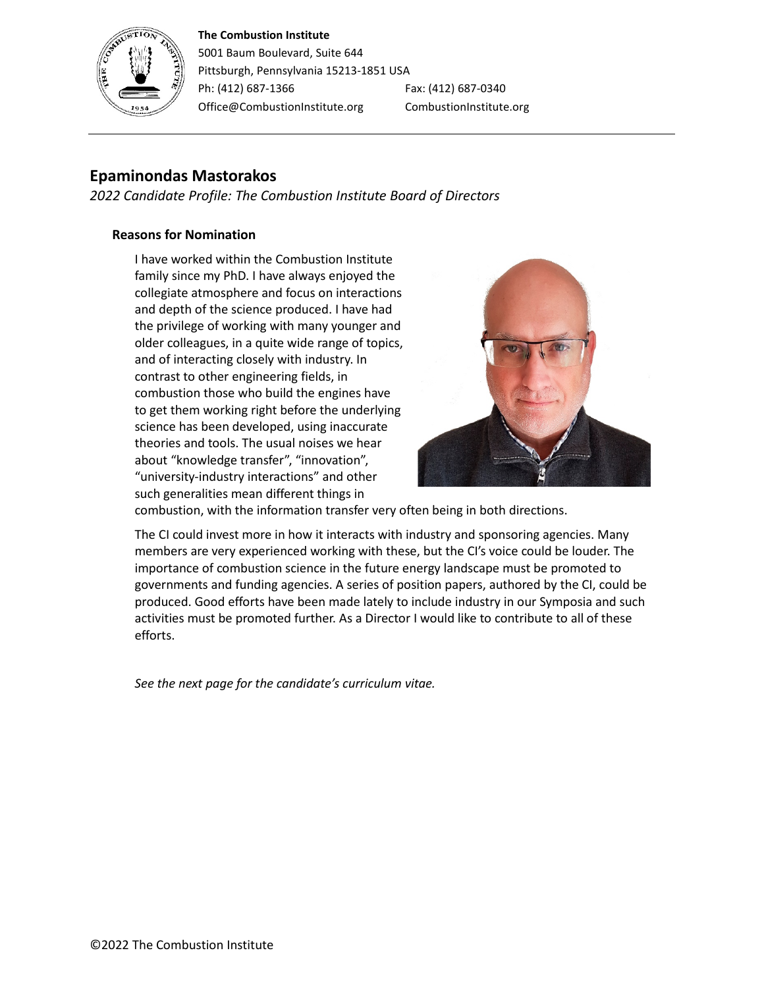#### **The Combustion Institute**



5001 Baum Boulevard, Suite 644 Pittsburgh, Pennsylvania 15213-1851 USA Ph: (412) 687-1366 Fax: (412) 687-0340 Office@CombustionInstitute.org CombustionInstitute.org

# **Epaminondas Mastorakos**

*2022 Candidate Profile: The Combustion Institute Board of Directors*

## **Reasons for Nomination**

I have worked within the Combustion Institute family since my PhD. I have always enjoyed the collegiate atmosphere and focus on interactions and depth of the science produced. I have had the privilege of working with many younger and older colleagues, in a quite wide range of topics, and of interacting closely with industry. In contrast to other engineering fields, in combustion those who build the engines have to get them working right before the underlying science has been developed, using inaccurate theories and tools. The usual noises we hear about "knowledge transfer", "innovation", "university-industry interactions" and other such generalities mean different things in



combustion, with the information transfer very often being in both directions.

The CI could invest more in how it interacts with industry and sponsoring agencies. Many members are very experienced working with these, but the CI's voice could be louder. The importance of combustion science in the future energy landscape must be promoted to governments and funding agencies. A series of position papers, authored by the CI, could be produced. Good efforts have been made lately to include industry in our Symposia and such activities must be promoted further. As a Director I would like to contribute to all of these efforts.

*See the next page for the candidate's curriculum vitae.*